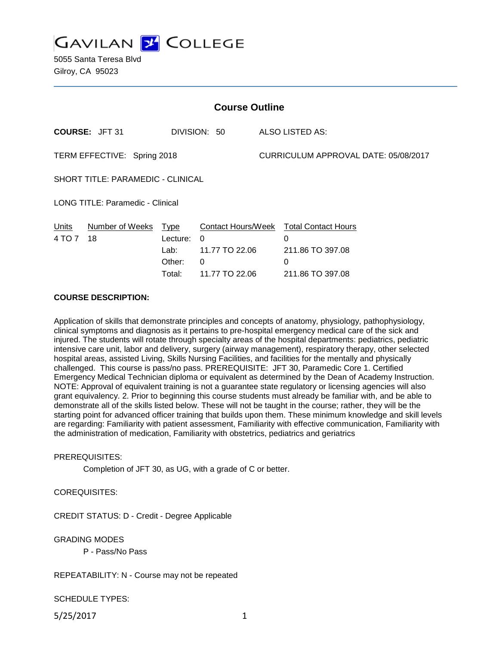**GAVILAN Z COLLEGE** 

5055 Santa Teresa Blvd Gilroy, CA 95023

| <b>Course Outline</b>                    |                                       |                                                     |                                                                  |                                      |                                                                              |
|------------------------------------------|---------------------------------------|-----------------------------------------------------|------------------------------------------------------------------|--------------------------------------|------------------------------------------------------------------------------|
|                                          | <b>COURSE: JFT 31</b><br>DIVISION: 50 |                                                     | ALSO LISTED AS:                                                  |                                      |                                                                              |
| TERM EFFECTIVE: Spring 2018              |                                       |                                                     |                                                                  | CURRICULUM APPROVAL DATE: 05/08/2017 |                                                                              |
| <b>SHORT TITLE: PARAMEDIC - CLINICAL</b> |                                       |                                                     |                                                                  |                                      |                                                                              |
| LONG TITLE: Paramedic - Clinical         |                                       |                                                     |                                                                  |                                      |                                                                              |
| Units<br>4 TO 7                          | Number of Weeks<br>18                 | <u>Type</u><br>Lecture:<br>Lab:<br>Other:<br>Total: | Contact Hours/Week<br>0<br>11.77 TO 22.06<br>0<br>11.77 TO 22.06 |                                      | <b>Total Contact Hours</b><br>0<br>211.86 TO 397.08<br>0<br>211.86 TO 397.08 |

#### **COURSE DESCRIPTION:**

Application of skills that demonstrate principles and concepts of anatomy, physiology, pathophysiology, clinical symptoms and diagnosis as it pertains to pre-hospital emergency medical care of the sick and injured. The students will rotate through specialty areas of the hospital departments: pediatrics, pediatric intensive care unit, labor and delivery, surgery (airway management), respiratory therapy, other selected hospital areas, assisted Living, Skills Nursing Facilities, and facilities for the mentally and physically challenged. This course is pass/no pass. PREREQUISITE: JFT 30, Paramedic Core 1. Certified Emergency Medical Technician diploma or equivalent as determined by the Dean of Academy Instruction. NOTE: Approval of equivalent training is not a guarantee state regulatory or licensing agencies will also grant equivalency. 2. Prior to beginning this course students must already be familiar with, and be able to demonstrate all of the skills listed below. These will not be taught in the course; rather, they will be the starting point for advanced officer training that builds upon them. These minimum knowledge and skill levels are regarding: Familiarity with patient assessment, Familiarity with effective communication, Familiarity with the administration of medication, Familiarity with obstetrics, pediatrics and geriatrics

#### PREREQUISITES:

Completion of JFT 30, as UG, with a grade of C or better.

### COREQUISITES:

CREDIT STATUS: D - Credit - Degree Applicable

GRADING MODES

P - Pass/No Pass

### REPEATABILITY: N - Course may not be repeated

SCHEDULE TYPES:

5/25/2017 1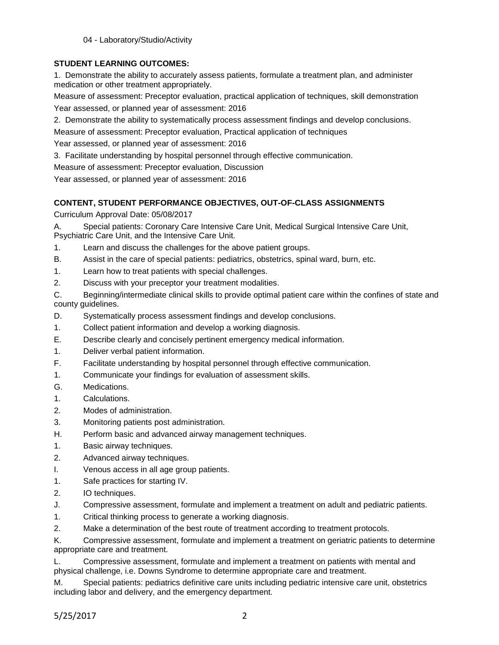04 - Laboratory/Studio/Activity

# **STUDENT LEARNING OUTCOMES:**

1. Demonstrate the ability to accurately assess patients, formulate a treatment plan, and administer medication or other treatment appropriately.

Measure of assessment: Preceptor evaluation, practical application of techniques, skill demonstration Year assessed, or planned year of assessment: 2016

2. Demonstrate the ability to systematically process assessment findings and develop conclusions.

Measure of assessment: Preceptor evaluation, Practical application of techniques

Year assessed, or planned year of assessment: 2016

3. Facilitate understanding by hospital personnel through effective communication.

Measure of assessment: Preceptor evaluation, Discussion

Year assessed, or planned year of assessment: 2016

## **CONTENT, STUDENT PERFORMANCE OBJECTIVES, OUT-OF-CLASS ASSIGNMENTS**

Curriculum Approval Date: 05/08/2017

A. Special patients: Coronary Care Intensive Care Unit, Medical Surgical Intensive Care Unit, Psychiatric Care Unit, and the Intensive Care Unit.

1. Learn and discuss the challenges for the above patient groups.

- B. Assist in the care of special patients: pediatrics, obstetrics, spinal ward, burn, etc.
- 1. Learn how to treat patients with special challenges.
- 2. Discuss with your preceptor your treatment modalities.

C. Beginning/intermediate clinical skills to provide optimal patient care within the confines of state and county guidelines.

- D. Systematically process assessment findings and develop conclusions.
- 1. Collect patient information and develop a working diagnosis.
- E. Describe clearly and concisely pertinent emergency medical information.
- 1. Deliver verbal patient information.
- F. Facilitate understanding by hospital personnel through effective communication.
- 1. Communicate your findings for evaluation of assessment skills.
- G. Medications.
- 1. Calculations.
- 2. Modes of administration.
- 3. Monitoring patients post administration.
- H. Perform basic and advanced airway management techniques.
- 1. Basic airway techniques.
- 2. Advanced airway techniques.
- I. Venous access in all age group patients.
- 1. Safe practices for starting IV.
- 2. IO techniques.
- J. Compressive assessment, formulate and implement a treatment on adult and pediatric patients.
- 1. Critical thinking process to generate a working diagnosis.
- 2. Make a determination of the best route of treatment according to treatment protocols.

K. Compressive assessment, formulate and implement a treatment on geriatric patients to determine appropriate care and treatment.

L. Compressive assessment, formulate and implement a treatment on patients with mental and physical challenge, i.e. Downs Syndrome to determine appropriate care and treatment.

M. Special patients: pediatrics definitive care units including pediatric intensive care unit, obstetrics including labor and delivery, and the emergency department.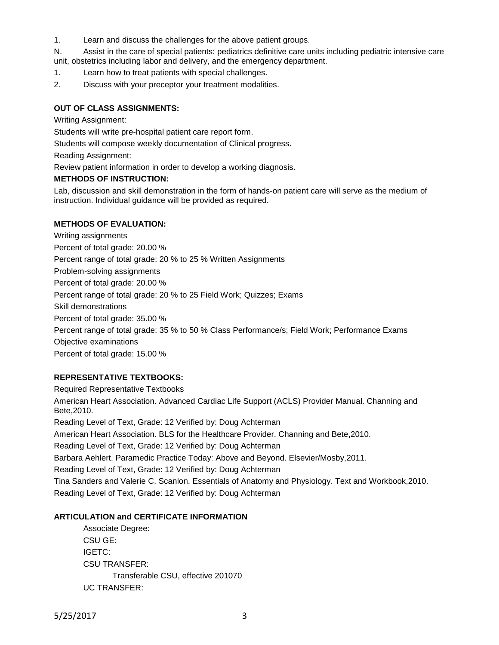1. Learn and discuss the challenges for the above patient groups.

N. Assist in the care of special patients: pediatrics definitive care units including pediatric intensive care unit, obstetrics including labor and delivery, and the emergency department.

- 1. Learn how to treat patients with special challenges.
- 2. Discuss with your preceptor your treatment modalities.

#### **OUT OF CLASS ASSIGNMENTS:**

Writing Assignment:

Students will write pre-hospital patient care report form.

Students will compose weekly documentation of Clinical progress.

Reading Assignment:

Review patient information in order to develop a working diagnosis.

#### **METHODS OF INSTRUCTION:**

Lab, discussion and skill demonstration in the form of hands-on patient care will serve as the medium of instruction. Individual guidance will be provided as required.

#### **METHODS OF EVALUATION:**

Writing assignments Percent of total grade: 20.00 % Percent range of total grade: 20 % to 25 % Written Assignments Problem-solving assignments Percent of total grade: 20.00 % Percent range of total grade: 20 % to 25 Field Work; Quizzes; Exams Skill demonstrations Percent of total grade: 35.00 % Percent range of total grade: 35 % to 50 % Class Performance/s; Field Work; Performance Exams Objective examinations Percent of total grade: 15.00 %

## **REPRESENTATIVE TEXTBOOKS:**

Required Representative Textbooks American Heart Association. Advanced Cardiac Life Support (ACLS) Provider Manual. Channing and Bete,2010. Reading Level of Text, Grade: 12 Verified by: Doug Achterman American Heart Association. BLS for the Healthcare Provider. Channing and Bete,2010. Reading Level of Text, Grade: 12 Verified by: Doug Achterman Barbara Aehlert. Paramedic Practice Today: Above and Beyond. Elsevier/Mosby,2011. Reading Level of Text, Grade: 12 Verified by: Doug Achterman Tina Sanders and Valerie C. Scanlon. Essentials of Anatomy and Physiology. Text and Workbook,2010. Reading Level of Text, Grade: 12 Verified by: Doug Achterman

# **ARTICULATION and CERTIFICATE INFORMATION**

Associate Degree: CSU GE: IGETC: CSU TRANSFER: Transferable CSU, effective 201070 UC TRANSFER: